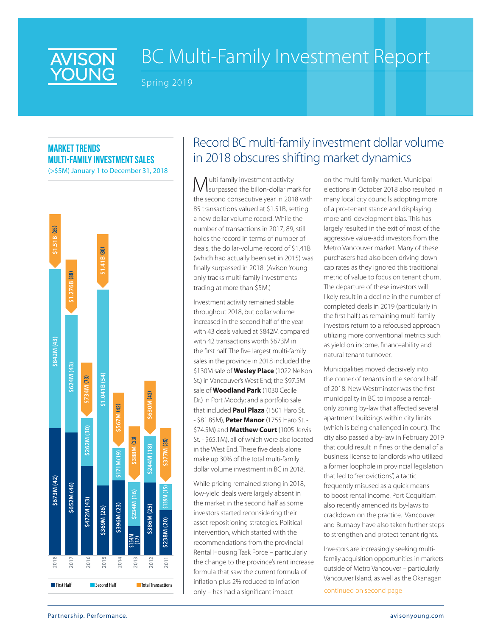

# BC Multi-Family Investment Report

Spring 2019

### **Market trends multi-family investment sales**

(>\$5M) January 1 to December 31, 2018



## Record BC multi-family investment dollar volume in 2018 obscures shifting market dynamics

Multi-family investment activity surpassed the billon-dollar mark for the second consecutive year in 2018 with 85 transactions valued at \$1.51B, setting a new dollar volume record. While the number of transactions in 2017, 89, still holds the record in terms of number of deals, the dollar-volume record of \$1.41B (which had actually been set in 2015) was finally surpassed in 2018. (Avison Young only tracks multi-family investments trading at more than \$5M.)

Investment activity remained stable throughout 2018, but dollar volume increased in the second half of the year with 43 deals valued at \$842M compared with 42 transactions worth \$673M in the first half. The five largest multi-family sales in the province in 2018 included the \$130M sale of **Wesley Place** (1022 Nelson St.) in Vancouver's West End; the \$97.5M sale of **Woodland Park** (1030 Cecile Dr.) in Port Moody; and a portfolio sale that included **Paul Plaza** (1501 Haro St. - \$81.85M), **Peter Manor** (1755 Haro St. - \$74.5M) and **Matthew Court** (1005 Jervis St. - \$65.1M), all of which were also located in the West End. These five deals alone make up 30% of the total multi-family dollar volume investment in BC in 2018.

While pricing remained strong in 2018, low-yield deals were largely absent in the market in the second half as some investors started reconsidering their asset repositioning strategies. Political intervention, which started with the recommendations from the provincial Rental Housing Task Force – particularly the change to the province's rent increase formula that saw the current formula of inflation plus 2% reduced to inflation only – has had a significant impact

on the multi-family market. Municipal elections in October 2018 also resulted in many local city councils adopting more of a pro-tenant stance and displaying more anti-development bias. This has largely resulted in the exit of most of the aggressive value-add investors from the Metro Vancouver market. Many of these purchasers had also been driving down cap rates as they ignored this traditional metric of value to focus on tenant churn. The departure of these investors will likely result in a decline in the number of completed deals in 2019 (particularly in the first half) as remaining multi-family investors return to a refocused approach utilizing more conventional metrics such as yield on income, financeability and natural tenant turnover.

Municipalities moved decisively into the corner of tenants in the second half of 2018. New Westminster was the first municipality in BC to impose a rentalonly zoning by-law that affected several apartment buildings within city limits (which is being challenged in court). The city also passed a by-law in February 2019 that could result in fines or the denial of a business license to landlords who utilized a former loophole in provincial legislation that led to "renovictions", a tactic frequently misused as a quick means to boost rental income. Port Coquitlam also recently amended its by-laws to crackdown on the practice. Vancouver and Burnaby have also taken further steps to strengthen and protect tenant rights.

Investors are increasingly seeking multifamily acquisition opportunities in markets outside of Metro Vancouver – particularly Vancouver Island, as well as the Okanagan

continued on second page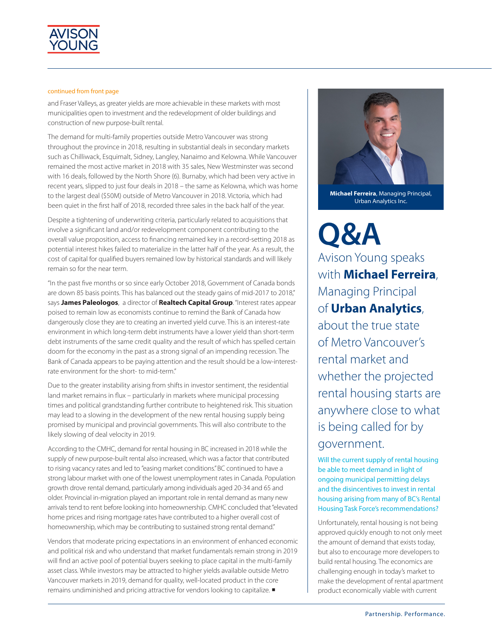

#### continued from front page

and Fraser Valleys, as greater yields are more achievable in these markets with most municipalities open to investment and the redevelopment of older buildings and construction of new purpose-built rental.

The demand for multi-family properties outside Metro Vancouver was strong throughout the province in 2018, resulting in substantial deals in secondary markets such as Chilliwack, Esquimalt, Sidney, Langley, Nanaimo and Kelowna. While Vancouver remained the most active market in 2018 with 35 sales, New Westminster was second with 16 deals, followed by the North Shore (6). Burnaby, which had been very active in recent years, slipped to just four deals in 2018 – the same as Kelowna, which was home to the largest deal (\$50M) outside of Metro Vancouver in 2018. Victoria, which had been quiet in the first half of 2018, recorded three sales in the back half of the year.

Despite a tightening of underwriting criteria, particularly related to acquisitions that involve a significant land and/or redevelopment component contributing to the overall value proposition, access to financing remained key in a record-setting 2018 as potential interest hikes failed to materialize in the latter half of the year. As a result, the cost of capital for qualified buyers remained low by historical standards and will likely remain so for the near term.

"In the past five months or so since early October 2018, Government of Canada bonds are down 85 basis points. This has balanced out the steady gains of mid-2017 to 2018," says **James Paleologos**, a director of **Realtech Capital Group**. "Interest rates appear poised to remain low as economists continue to remind the Bank of Canada how dangerously close they are to creating an inverted yield curve. This is an interest-rate environment in which long-term debt instruments have a lower yield than short-term debt instruments of the same credit quality and the result of which has spelled certain doom for the economy in the past as a strong signal of an impending recession. The Bank of Canada appears to be paying attention and the result should be a low-interestrate environment for the short- to mid-term."

Due to the greater instability arising from shifts in investor sentiment, the residential land market remains in flux – particularly in markets where municipal processing times and political grandstanding further contribute to heightened risk. This situation may lead to a slowing in the development of the new rental housing supply being promised by municipal and provincial governments. This will also contribute to the likely slowing of deal velocity in 2019.

According to the CMHC, demand for rental housing in BC increased in 2018 while the supply of new purpose-built rental also increased, which was a factor that contributed to rising vacancy rates and led to "easing market conditions." BC continued to have a strong labour market with one of the lowest unemployment rates in Canada. Population growth drove rental demand, particularly among individuals aged 20-34 and 65 and older. Provincial in-migration played an important role in rental demand as many new arrivals tend to rent before looking into homeownership. CMHC concluded that "elevated home prices and rising mortgage rates have contributed to a higher overall cost of homeownership, which may be contributing to sustained strong rental demand."

Vendors that moderate pricing expectations in an environment of enhanced economic and political risk and who understand that market fundamentals remain strong in 2019 will find an active pool of potential buyers seeking to place capital in the multi-family asset class. While investors may be attracted to higher yields available outside Metro Vancouver markets in 2019, demand for quality, well-located product in the core remains undiminished and pricing attractive for vendors looking to capitalize.



**Michael Ferreira**, Managing Principal, Urban Analytics Inc.

**Q&A** Avison Young speaks with **Michael Ferreira**, Managing Principal of **Urban Analytics**, about the true state of Metro Vancouver's rental market and whether the projected rental housing starts are anywhere close to what is being called for by government.

Will the current supply of rental housing be able to meet demand in light of ongoing municipal permitting delays and the disincentives to invest in rental housing arising from many of BC's Rental Housing Task Force's recommendations?

Unfortunately, rental housing is not being approved quickly enough to not only meet the amount of demand that exists today, but also to encourage more developers to build rental housing. The economics are challenging enough in today's market to make the development of rental apartment product economically viable with current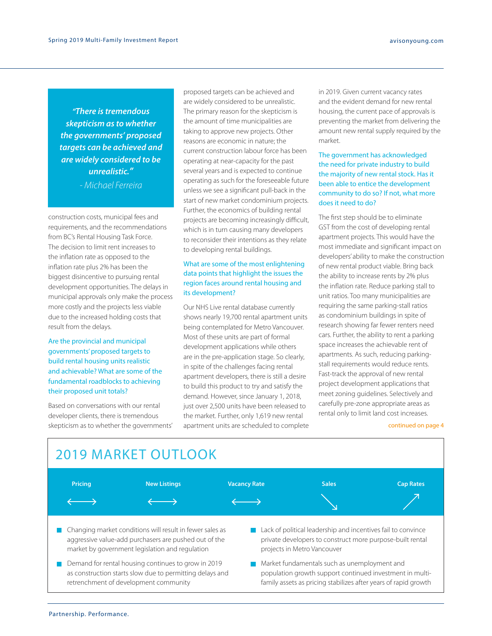*"There is tremendous skepticism as to whether the governments' proposed targets can be achieved and are widely considered to be unrealistic." - Michael Ferreira* 

construction costs, municipal fees and requirements, and the recommendations from BC's Rental Housing Task Force. The decision to limit rent increases to the inflation rate as opposed to the inflation rate plus 2% has been the biggest disincentive to pursuing rental development opportunities. The delays in municipal approvals only make the process more costly and the projects less viable due to the increased holding costs that result from the delays.

### Are the provincial and municipal governments' proposed targets to build rental housing units realistic and achievable? What are some of the fundamental roadblocks to achieving their proposed unit totals?

Based on conversations with our rental developer clients, there is tremendous skepticism as to whether the governments' proposed targets can be achieved and are widely considered to be unrealistic. The primary reason for the skepticism is the amount of time municipalities are taking to approve new projects. Other reasons are economic in nature; the current construction labour force has been operating at near-capacity for the past several years and is expected to continue operating as such for the foreseeable future unless we see a significant pull-back in the start of new market condominium projects. Further, the economics of building rental projects are becoming increasingly difficult, which is in turn causing many developers to reconsider their intentions as they relate to developing rental buildings.

#### What are some of the most enlightening data points that highlight the issues the region faces around rental housing and its development?

Our NHS Live rental database currently shows nearly 19,700 rental apartment units being contemplated for Metro Vancouver. Most of these units are part of formal development applications while others are in the pre-application stage. So clearly, in spite of the challenges facing rental apartment developers, there is still a desire to build this product to try and satisfy the demand. However, since January 1, 2018, just over 2,500 units have been released to the market. Further, only 1,619 new rental apartment units are scheduled to complete in 2019. Given current vacancy rates and the evident demand for new rental housing, the current pace of approvals is preventing the market from delivering the amount new rental supply required by the market.

#### The government has acknowledged the need for private industry to build the majority of new rental stock. Has it been able to entice the development community to do so? If not, what more does it need to do?

The first step should be to eliminate GST from the cost of developing rental apartment projects. This would have the most immediate and significant impact on developers' ability to make the construction of new rental product viable. Bring back the ability to increase rents by 2% plus the inflation rate. Reduce parking stall to unit ratios. Too many municipalities are requiring the same parking-stall ratios as condominium buildings in spite of research showing far fewer renters need cars. Further, the ability to rent a parking space increases the achievable rent of apartments. As such, reducing parkingstall requirements would reduce rents. Fast-track the approval of new rental project development applications that meet zoning guidelines. Selectively and carefully pre-zone appropriate areas as rental only to limit land cost increases.

#### continued on page 4